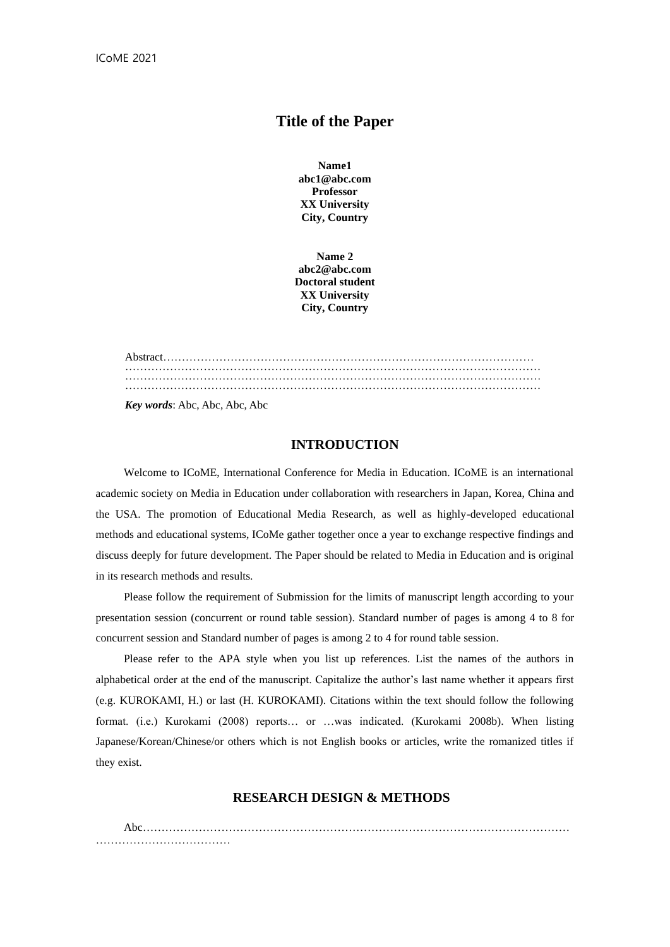# **Title of the Paper**

**Name1 abc1@abc.com Professor XX University City, Country**

**Name 2 abc2@abc.com Doctoral student XX University City, Country**

Abstract……………………………………………………………………………………… ………………………………………………………………………………………………… ………………………………………………………………………………………………… ………………………………………………………………………………………………… *Key words*: Abc, Abc, Abc, Abc

#### **INTRODUCTION**

Welcome to ICoME, International Conference for Media in Education. ICoME is an international academic society on Media in Education under collaboration with researchers in Japan, Korea, China and the USA. The promotion of Educational Media Research, as well as highly-developed educational methods and educational systems, ICoMe gather together once a year to exchange respective findings and discuss deeply for future development. The Paper should be related to Media in Education and is original in its research methods and results.

Please follow the requirement of Submission for the limits of manuscript length according to your presentation session (concurrent or round table session). Standard number of pages is among 4 to 8 for concurrent session and Standard number of pages is among 2 to 4 for round table session.

Please refer to the APA style when you list up references. List the names of the authors in alphabetical order at the end of the manuscript. Capitalize the author's last name whether it appears first (e.g. KUROKAMI, H.) or last (H. KUROKAMI). Citations within the text should follow the following format. (i.e.) Kurokami (2008) reports… or …was indicated. (Kurokami 2008b). When listing Japanese/Korean/Chinese/or others which is not English books or articles, write the romanized titles if they exist.

### **RESEARCH DESIGN & METHODS**

Abc…………………………………………………………………………………………………… ……………………………………